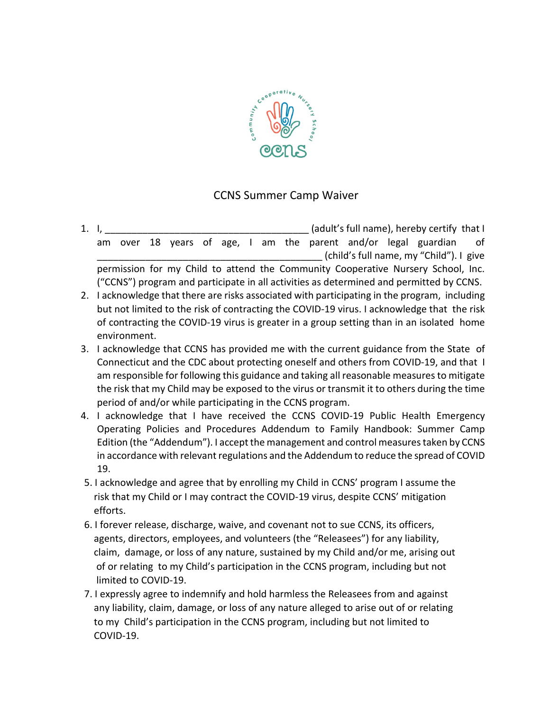

## CCNS Summer Camp Waiver

- 1. I,  $\blacksquare$ am over 18 years of age, I am the parent and/or legal guardian of \_\_\_\_\_\_\_\_\_\_\_\_\_\_\_\_\_\_\_\_\_\_\_\_\_\_\_\_\_\_\_\_\_\_\_\_\_\_\_\_\_\_ (child's full name, my "Child"). I give permission for my Child to attend the Community Cooperative Nursery School, Inc. ("CCNS") program and participate in all activities as determined and permitted by CCNS.
- 2. I acknowledge that there are risks associated with participating in the program, including but not limited to the risk of contracting the COVID-19 virus. I acknowledge that the risk of contracting the COVID-19 virus is greater in a group setting than in an isolated home environment.
- 3. I acknowledge that CCNS has provided me with the current guidance from the State of Connecticut and the CDC about protecting oneself and others from COVID-19, and that I am responsible for following this guidance and taking all reasonable measures to mitigate the risk that my Child may be exposed to the virus or transmit it to others during the time period of and/or while participating in the CCNS program.
- 4. I acknowledge that I have received the CCNS COVID-19 Public Health Emergency Operating Policies and Procedures Addendum to Family Handbook: Summer Camp Edition (the "Addendum"). I accept the management and control measures taken by CCNS in accordance with relevant regulations and the Addendum to reduce the spread of COVID 19.
- 5. I acknowledge and agree that by enrolling my Child in CCNS' program I assume the risk that my Child or I may contract the COVID-19 virus, despite CCNS' mitigation efforts.
- 6. I forever release, discharge, waive, and covenant not to sue CCNS, its officers, agents, directors, employees, and volunteers (the "Releasees") for any liability, claim, damage, or loss of any nature, sustained by my Child and/or me, arising out of or relating to my Child's participation in the CCNS program, including but not limited to COVID-19.
- 7. I expressly agree to indemnify and hold harmless the Releasees from and against any liability, claim, damage, or loss of any nature alleged to arise out of or relating to my Child's participation in the CCNS program, including but not limited to COVID-19.